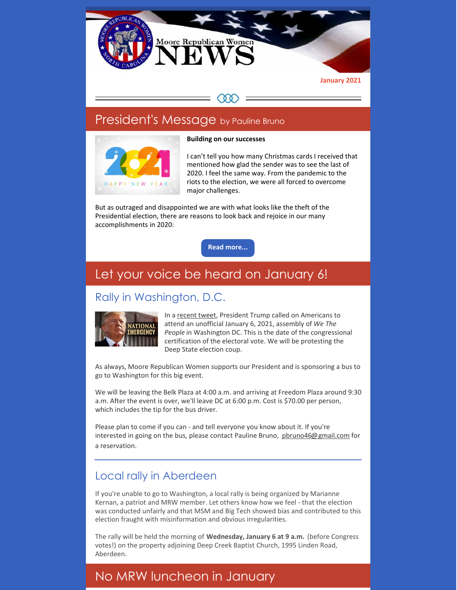

#### President's Message by Pauline Bruno





I can't tell you how many Christmas cards I received that mentioned how glad the sender was to see the last of 2020. I feel the same way. From the pandemic to the riots to the election, we were all forced to overcome major challenges.

But as outraged and disappointed we are with what looks like the theft of the Presidential election, there are reasons to look back and rejoice in our many accomplishments in 2020:

**Read [more...](https://www.mrwnc.org/letter-from-the-president)**

## Let your voice be heard on January 6!

## Rally in Washington, D.C.



In a [recent](https://twitter.com/realDonaldTrump/status/1340185773220515840?ref_src=twsrc%5Etfw%7Ctwcamp%5Etweetembed%7Ctwterm%5E1340185773220515840%7Ctwgr%5E%7Ctwcon%5Es1_&ref_url=https%3A%2F%2Fwildprotest.com%2F) tweet, President Trump called on Americans to attend an unofficial January 6, 2021, assembly of *We The People* in Washington DC. This is the date of the congressional certification of the electoral vote. We will be protesting the Deep State election coup.

As always, Moore Republican Women supports our President and is sponsoring a bus to go to Washington for this big event.

We will be leaving the Belk Plaza at 4:00 a.m. and arriving at Freedom Plaza around 9:30 a.m. After the event is over, we'll leave DC at 6:00 p.m. Cost is \$70.00 per person, which includes the tip for the bus driver.

Please plan to come if you can - and tell everyone you know about it. If you're interested in going on the bus, please contact Pauline Bruno, phruno46@gmail.com for a reservation.

#### Local rally in Aberdeen

If you're unable to go to Washington, a local rally is being organized by Marianne Kernan, a patriot and MRW member. Let others know how we feel - that the election was conducted unfairly and that MSM and Big Tech showed bias and contributed to this election fraught with misinformation and obvious irregularities.

The rally will be held the morning of **Wednesday, January 6 at 9 a.m.** (before Congress votes!) on the property adjoining Deep Creek Baptist Church, 1995 Linden Road, Aberdeen.

# No MRW luncheon in January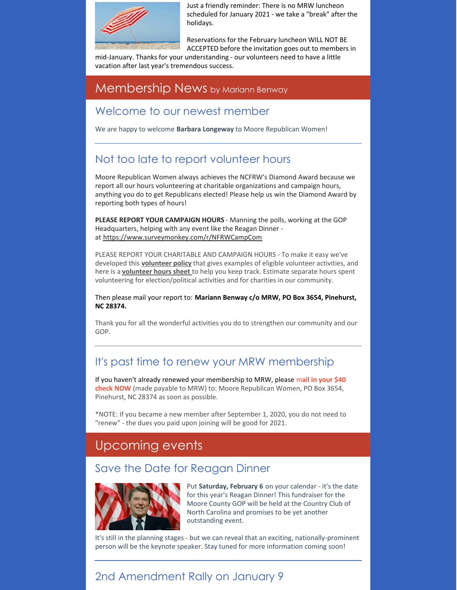

Just a friendly reminder: There is no MRW luncheon scheduled for January 2021 - we take a "break" after the holidays.

Reservations for the February luncheon WILL NOT BE ACCEPTED before the invitation goes out to members in

mid-January. Thanks for your understanding - our volunteers need to have a little vacation after last year's tremendous success.

#### Membership News by Mariann Benway

#### Welcome to our newest member

We are happy to welcome **Barbara Longeway** to Moore Republican Women!

## Not too late to report volunteer hours

Moore Republican Women always achieves the NCFRW's Diamond Award because we report all our hours volunteering at charitable organizations and campaign hours, anything you do to get Republicans elected! Please help us win the Diamond Award by reporting both types of hours!

**PLEASE REPORT YOUR CAMPAIGN HOURS** - Manning the polls, working at the GOP Headquarters, helping with any event like the Reagan Dinner at <https://www.surveymonkey.com/r/NFRWCampCom>

PLEASE REPORT YOUR CHARITABLE AND CAMPAIGN HOURS - To make it easy we've developed this **[volunteer](https://files.constantcontact.com/30571cb6701/d9e84b66-f967-4041-afbb-16e242a86ea1.pdf) policy** that gives examples of eligible volunteer activities, and here is a **[volunteer](https://files.constantcontact.com/30571cb6701/deccbbff-d77d-41a0-a1ac-f1e047420854.pdf) hours sheet** to help you keep track. Estimate separate hours spent volunteering for election/political activities and for charities in our community.

Then please mail your report to: **Mariann Benway c/o MRW, PO Box 3654, Pinehurst, NC 28374.**

Thank you for all the wonderful activities you do to strengthen our community and our GOP.

## It's past time to renew your MRW membership

If you haven't already renewed your membership to MRW, please m**ail in your \$40 check NOW** (made payable to MRW) to: Moore Republican Women, PO Box 3654, Pinehurst, NC 28374 as soon as possible.

\*NOTE: If you became a new member after September 1, 2020, you do not need to "renew" - the dues you paid upon joining will be good for 2021.

# Upcoming events

#### Save the Date for Reagan Dinner



Put **Saturday, February 6** on your calendar - it's the date for this year's Reagan Dinner! This fundraiser for the Moore County GOP will be held at the Country Club of North Carolina and promises to be yet another outstanding event.

It's still in the planning stages - but we can reveal that an exciting, nationally-prominent person will be the keynote speaker. Stay tuned for more information coming soon!

# 2nd Amendment Rally on January 9